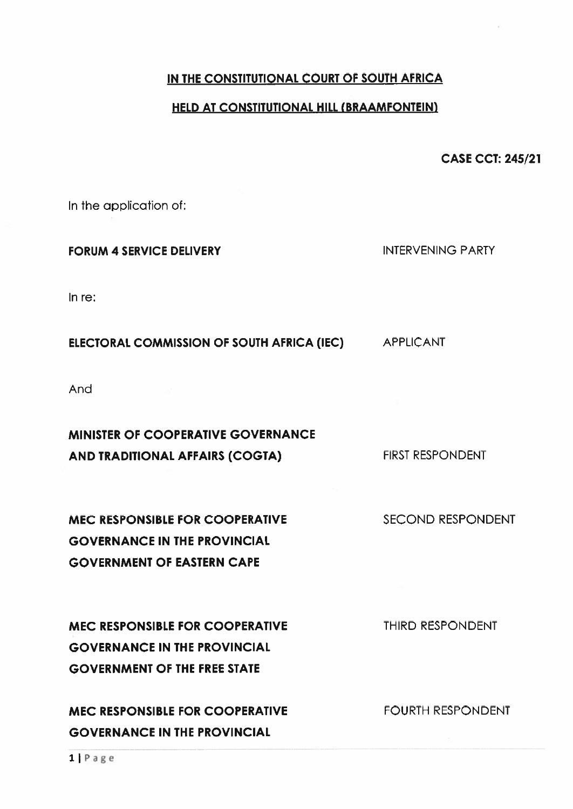#### IN THE CONSTITUTIONAL COURT OF SOUTH AFRICA

#### HELD AT CONSTITUTIONAL HILL (BRAAMFONTEIN)

CASE CCT: 245/21

In the application of:

#### FORUM 4 SERVICE DELIVERY **INTERVENING PARTY**

In re:

#### ELECTORAL COMMISSION OF SOUTH AFRICA (IEC) APPLICANT

And

# MINISTER OF COOPERATIVE GOVERNANCE AND TRADITIONAL AFFAIRS (COGTA) FIRST RESPONDENT

# MEC RESPONSIBLE FOR COOPERATIVE SECOND RESPONDENT GOVERNANCE IN THE PROVINCIAL GOVERNMENT OF EASTERN CAPE

# MEC RESPONSIBLE FOR COOPERATIVE THIRD RESPONDENT GOVERNANCE IN THE PROVINCIAL GOVERNMENT OF THE FREE STATE

# MEC RESPONSIBLE FOR COOPERATIVE FOURTH RESPONDENT GOVERNANCE IN THE PROVINCIAL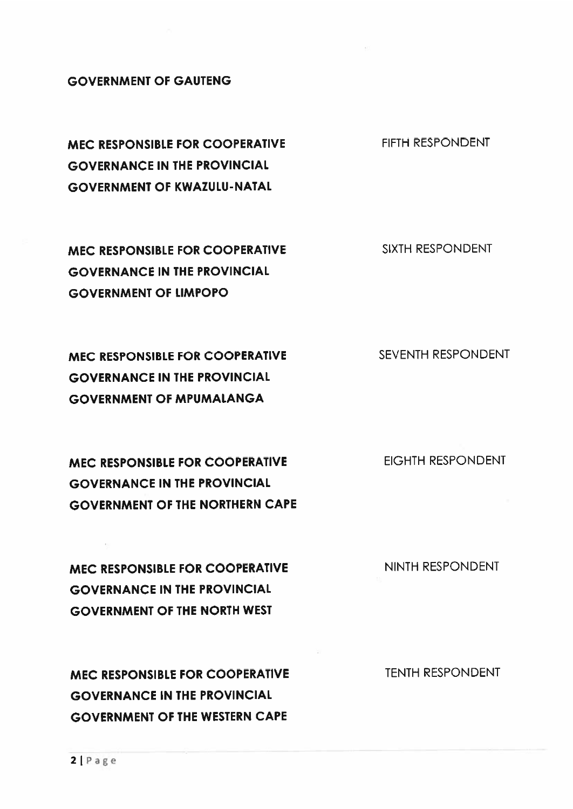#### **GOVERNMENT OF GAUTENG**

MEC RESPONSIBLE FOR COOPERATIVE FIFTH RESPONDENT GOVERNANCE IN THE PROVINCIAL **GOVERNMENT OF KWAZULU-NATAL** 

MEC RESPONSIBLE FOR COOPERATIVE SIXTH RESPONDENT GOVERNANCE IN THE PROVINCIAL GOVERNMENT OF LIMPOPO

MEC RESPONSIBLE FOR COOPERATIVE SEVENTH RESPONDENT GOVERNANCE IN THE PROVINCIAL GOVERNMENT OF MPUMALANGA

MEC RESPONSIBLE FOR COOPERATIVE EIGHTH RESPONDENT GOVERNANCE IN THE PROVINCIAL GOVERNMENT OF THE NORTHERN CAPE

MEC RESPONSIBLE FOR COOPERATIVE NINTH RESPONDENT GOVERNANCE IN THE PROVINCIAL GOVERNMENT OF THE NORTH WEST

MEC RESPONSIBLE FOR COOPERATIVE TENTH RESPONDENT GOVERNANCE IN THE PROVINCIAL GOVERNMENT OF THE WESTERN CAPE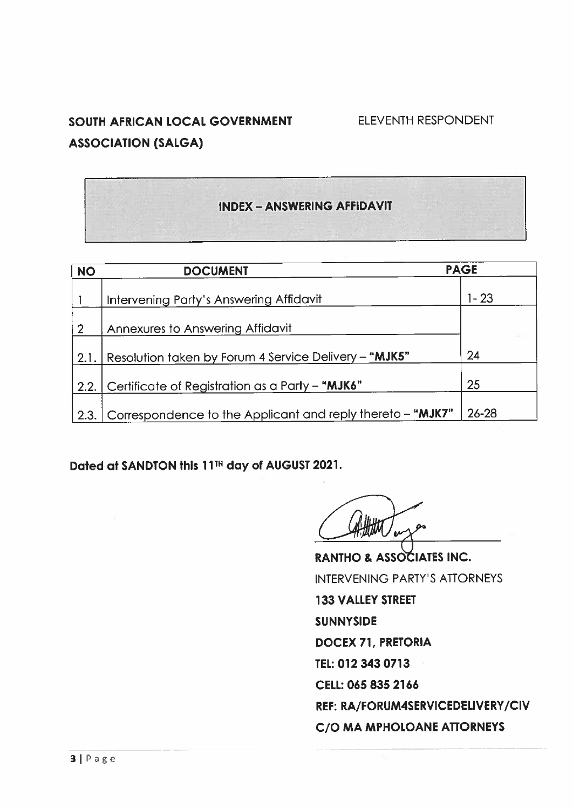# SOUTH AFRICAN LOCAL GOVERNMENT ELEVENTH RESPONDENT ASSOCIATION (SALGA)

#### INDEX -ANSWERING AFFIDAVIT

| <b>NO</b>      | <b>DOCUMENT</b>                                            | <b>PAGE</b> |
|----------------|------------------------------------------------------------|-------------|
|                | Intervening Party's Answering Affidavit                    | $1 - 23$    |
| $\overline{2}$ | Annexures to Answering Affidavit                           |             |
| 2.1.           | Resolution taken by Forum 4 Service Delivery - "MJK5"      | 24          |
| 2.2.           | Certificate of Registration as a Party - "MJK6"            | 25          |
| 2.3.           | Correspondence to the Applicant and reply thereto - "MJK7" | $26 - 28$   |

Dated at SANDTON this 11TH day of AUGUST 2021.

RANTHO & ASSOCIATES INC. INTERVENING PARTY'S ATTORNEYS 133 VALLEY STREET **SUNNYSIDE** DOCEX 71, PRETORIA TEL: 012 343 0713 CELL: 065 835 2166 REF: RA/FORUM4SERVICEDELIVERY/CIV C/O MA MPHOLOANE ATTORNEYS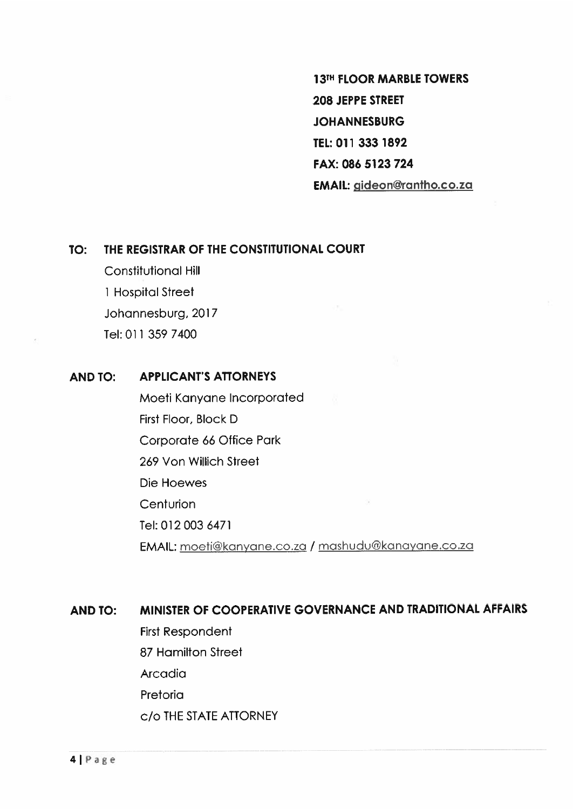13TH FLOOR MARBLE TOWERS 208 JEPPE STREET **JOHANNESBURG** TEL: 011 333 1892 FAX: 086 5123 724 EMAIL: qideon@rontho.co.zo

#### TO: THE REGISTRAR OF THE CONSTITUTIONAL COURT

Constitutional Hill 1 Hospital Street Johannesburg, 2017 Tel: 011 359 7400

#### AND TO: APPLICANTS ATTORNEYS

Moeti Kanyane Incorporated First Floor, Block D Corporate <sup>66</sup> Office Park 269 Von Willich Street Die Hoewes **Centurion** Tel: 012003 6471 EMAIL: moeti@kanyane.co.za / mashudu@kanayane.co.za

#### AND TO: MINISTER OF COOPERATIVE GOVERNANCE AND TRADITIONAL AFFAIRS

First Respondent 87 Hamilton Street Arcadia Pretoria c/o THE STATE ATTORNEY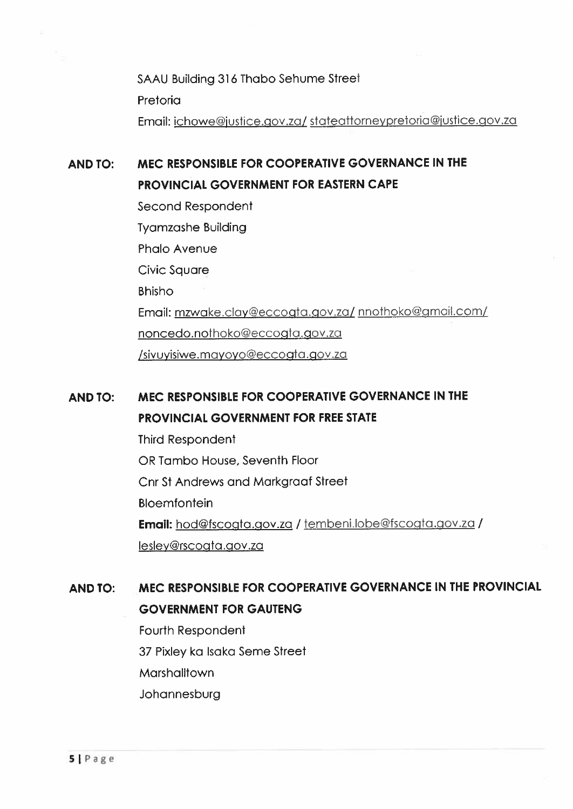SAAU Building 316 Thabo Sehume Street Pretoria Email: ichowe@justice.gov.za/ stateattorneypretoria@justice.gov.za

# AND TO: MEC RESPONSIBLE FOR COOPERATIVE GOVERNANCE IN THE PROVINCIAL GOVERNMENT FOR EASTERN CAPE

Second Respondent Tyamzashe Building Phalo Avenue Civic Square Bhisho Email: mzwake.clay@eccogta.qov.za/ nnofhoko@pmail.com/ noncedo.nothoko@eccogta.gov.za /sivuyisiwe.mayoyo@eccogta.gov.za

# AND TO: MEC RESPONSIBLE FOR COOPERATIVE GOVERNANCE IN THE PROVINCIAL GOVERNMENT FOR FREE STATE

Third Respondent OR Tambo House, Seventh Floor Cnr St Andrews and Markgraaf Street Bloemfontein **Email:** hod@fscogta.gov.za / tembeni.lobe@fscogta.gov.za / lesley@rscogta.gov.za

# AND TO: MEC RESPONSIBLE FOR COOPERATIVE GOVERNANCE IN THE PROVINCIAL GOVERNMENT FOR GAUTENG

Fourth Respondent 37 Pixley ka Isaka Seme Street Marshalltown **Johannesburg**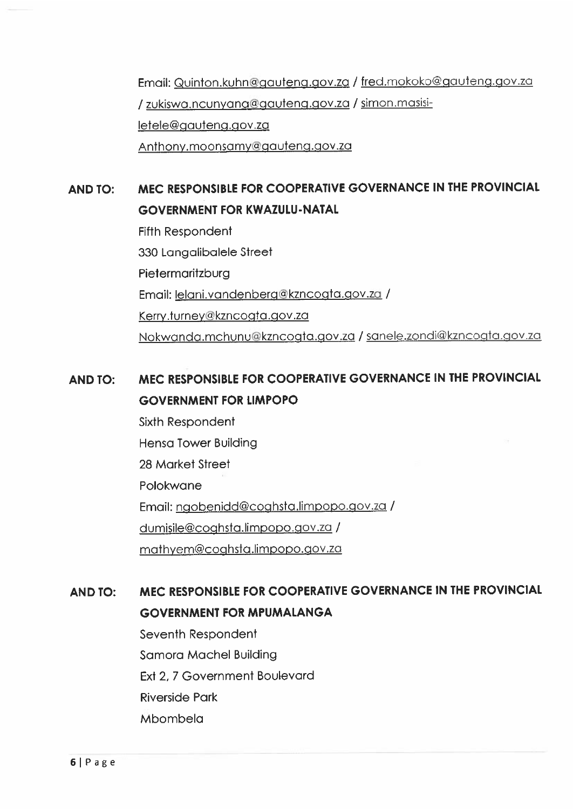Email: Quinton.kubn@gauteng.gov.za / fred.mokoko@gauteng.gov.za / zukiswa.ncunyana@qauteng.gov.za / simon.masisi Ietele@qauteng.govzo Anthony.moonsamy@gauteng.gov.za

# AND TO: MEC RESPONSIBLE FOR COOPERATIVE GOVERNANCE IN THE PROVINCIAL GOVERNMENT FOR KWAZULU-NATAL

Fifth Respondent 330 Langalibalele Street Pietermaritzburg Email: lelani.vandenberg@kzncogta.gov.za / Kerry.turney@kzncogta.gov.za Nokwanda.mchunu@kzncoqta.qov.za / sanele.zondi@kzncogta.pov.za

# AND TO: MEC RESPONSIBLE FOR COOPERATIVE GOVERNANCE IN THE PROVINCIAL GOVERNMENT FOR LIMPOPO

Sixth Respondent Hensa Tower Building 28 Market Street Polokwane Email: ngobenidd@coghsta.limpopo.gov.za/ dumisile@coghsta.limpopo.gov.za / mathyem@coghsta.limpopo.gov.za

# AND TO: MEC RESPONSIBLE FOR COOPERATIVE GOVERNANCE IN THE PROVINCIAL GOVERNMENT FOR MPUMALANGA

Seventh Respondent Samora Machel Building Ext 2, 7 Government Boulevard Rjversjde Park **Mbombela**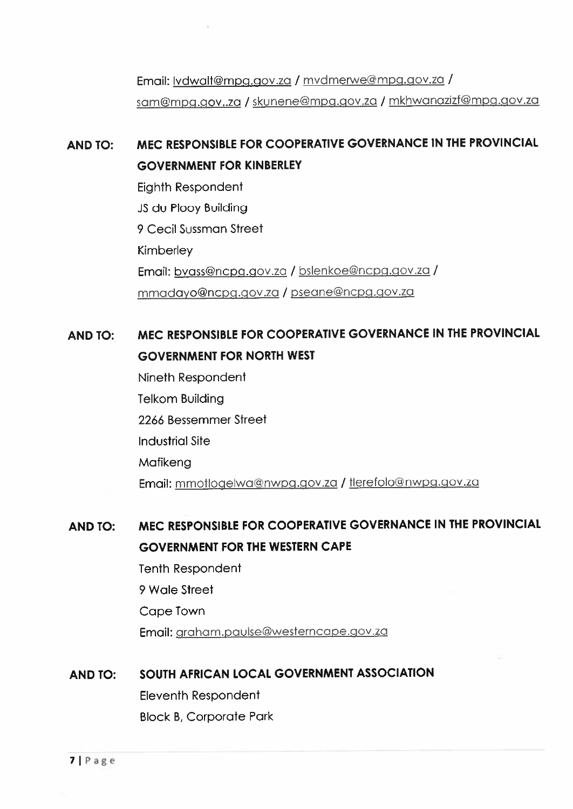Email: vdwalf@mpq.gov.za / rnvdmerwe@mpg.pov.za / sam@mpq.gov..za / skunene@mpg.pov.za / mkhwonazizf@mpg.gov.za

# AND TO: MEC RESPONSIBLE FOR COOPERATIVE GOVERNANCE IN THE PROVINCIAL GOVERNMENT FOR KINBERLEY

Eighth Respondent JS du Plooy Building 9 Cecil Sussman Street Kimberley Email: bvass@ncpg.aov.za / bslenkoe@ncpg.gov.zo / mmadayo@ncrg.gov.za / pseane@ncpQ.Qov.za

# AND TO: MEC RESPONSIBLE FOR COOPERATIVE GOVERNANCE IN THE PROVINCIAL GOVERNMENT FOR NORTH WEST

Nineth Respondent Telkom Building 2266 Bessemmer Street Industrial Site Mafikena Email: mmotlogelwa@nwpg.gov.za / tlerefolo@nwpg.gov.za

# AND TO: MEC RESPONSIBLE FOR COOPERATIVE GOVERNANCE IN THE PROVINCIAL GOVERNMENT FOR THE WESTERN CAPE

Tenth Respondent 9 Wale Street Cape Town Email: graham.paulse@westerncape.gov.za

## AND TO: SOUTH AFRICAN LOCAL GOVERNMENT ASSOCIATION

Eleventh Respondent Block B, Corporate Park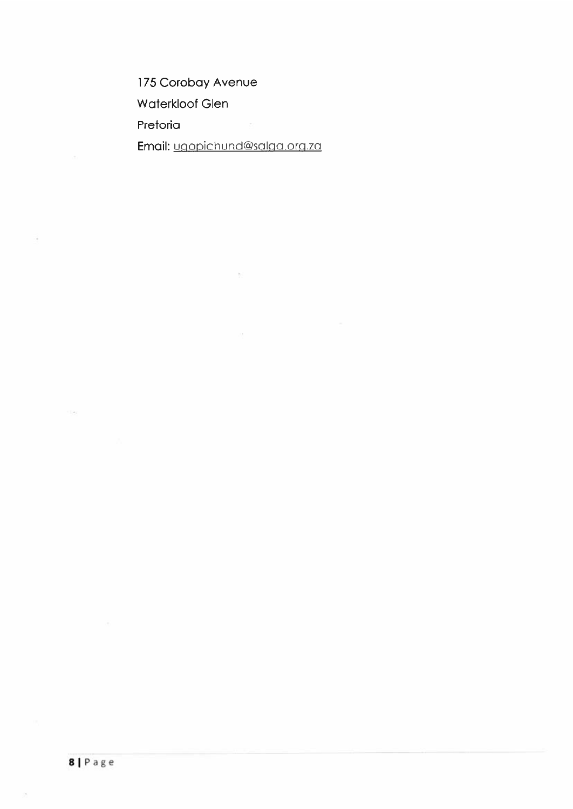175 Corobay Avenue Waterkloof Glen Pretoria Email: uqopichund@salga.org.za

 $\delta$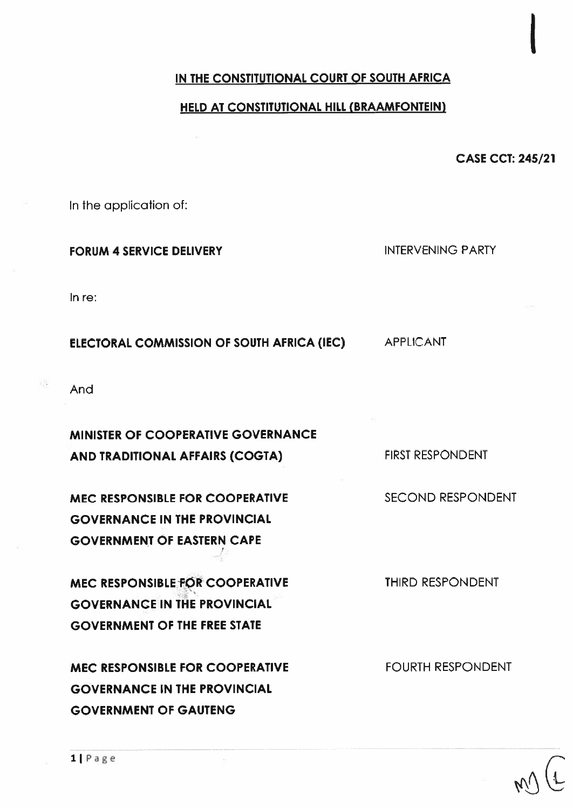#### IN THE CONSTITUTIONAL COURT OF SOUTH AFRICA

#### HELD AT CONSTITUTIONAL HILL (BRAAMFONTEIN)

CASE CCT: 245/21

|<br>|<br>|

In the application of:

FORUM 4 SERVICE DELIVERY INTERVENING PARTY

In re:

ELECTORAL COMMISSION OF SOUTH AFRICA (IEC) APPLICANT

And

MINISTER OF COOPERATIVE GOVERNANCE AND TRADITIONAL AFFAIRS (COGTA) FIRST RESPONDENT

MEC RESPONSIBLE FOR COOPERATIVE SECOND RESPONDENT GOVERNANCE IN THE PROVINCIAL GOVERNMENT OF EASTERN CAPE

MEC RESPONSIBLE FOR COOPERATIVE THIRD RESPONDENT GOVERNANCE IN THE PROVINCIAL GOVERNMENT OF THE FREE STATE

MEC RESPONSIBLE FOR COOPERATIVE FOURTH RESPONDENT GOVERNANCE IN THE PROVINCIAL GOVERNMENT OF GAUTENG

 $\mathbb{R}$   $\mathbb{R}$   $\mathbb{R}$   $\mathbb{R}$   $\mathbb{R}$   $\mathbb{R}$   $\mathbb{R}$   $\mathbb{R}$   $\mathbb{R}$   $\mathbb{R}$   $\mathbb{R}$   $\mathbb{R}$   $\mathbb{R}$   $\mathbb{R}$   $\mathbb{R}$   $\mathbb{R}$   $\mathbb{R}$   $\mathbb{R}$   $\mathbb{R}$   $\mathbb{R}$   $\mathbb{R}$   $\mathbb{R}$   $\mathbb{R}$   $\mathbb{R}$   $\mathbb{$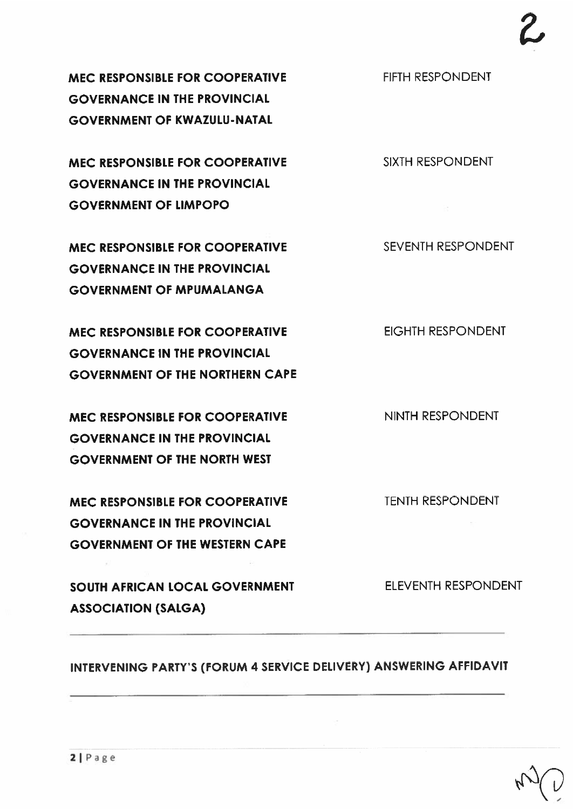MEC RESPONSIBLE FOR COOPERATIVE FIFTH RESPONDENT GOVERNANCE IN THE PROVINCIAL GOVERNMENT OF KWAZULU-NATAL

MEC RESPONSIBLE FOR COOPERATIVE SIXTH RESPONDENT GOVERNANCE IN THE PROVINCIAL GOVERNMENT OF LIMPOPO

MEC RESPONSIBLE FOR COOPERATIVE SEVENTH RESPONDENT GOVERNANCE IN THE PROVINCIAL GOVERNMENT OF MPUMALANGA

MEC RESPONSIBLE FOR COOPERATIVE EIGHTH RESPONDENT GOVERNANCE IN THE PROVINCIAL GOVERNMENT OF THE NORTHERN CAPE

MEC RESPONSIBLE FOR COOPERATIVE NINTH RESPONDENT GOVERNANCE IN THE PROVINCIAL GOVERNMENT OF THE NORTH WEST

MEC RESPONSIBLE FOR COOPERATIVE TENTH RESPONDENT GOVERNANCE IN THE PROVINCIAL GOVERNMENT OF THE WESTERN CAPE

SOUTH AFRICAN LOCAL GOVERNMENT ELEVENTH RESPONDENT ASSOCIATION (SALGA)

INTERVENING PARTY'S (FORUM <sup>4</sup> SERVICE DELIVERY) ANSWERING AFFIDAVIT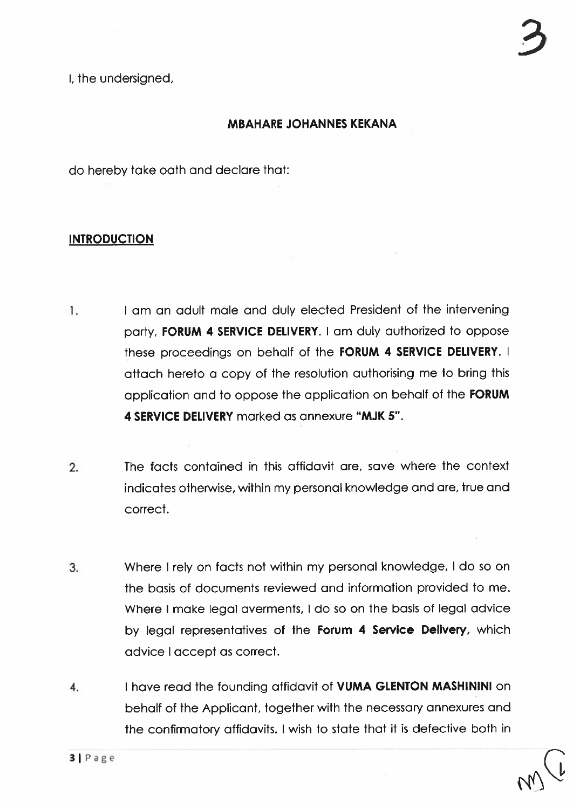I, the undersigned,

#### MBAHARE JOHANNES KEKANA

do hereby take oath and declare that:

#### **INTRODUCTION**

- 1. <sup>I</sup> am an adult male and duly elected President of the intervening party, FORUM 4 SERVICE DELIVERY. <sup>I</sup> am duly authorized to oppose these proceedings on behalf of the FORUM <sup>4</sup> SERVICE DELIVERY. <sup>I</sup> attach hereto <sup>a</sup> copy of the resolution authorising me to bring this application and to oppose the application on behalf of the FORUM 4 SERVICE DELIVERY marked as annexure "MJK 5".
- 2. The facts contained in this affidavit are, save where the context indicates otherwise, within my personal knowledge and are, true and correct.
- 3. Where <sup>I</sup> rely on facts not within my personal knowledge, <sup>I</sup> do so on the basis of documents reviewed and information provided to me. Where I make legal averments, I do so on the basis of legal advice by legal representatives of the **Forum 4 Service Delivery**, which advice I accep<sup>t</sup> as correct.
- 4. I have read the founding affidavit of VUMA GLENTON MASHININI on behalf of the Applicant, together with the necessary annexures and the confirmatory affidavits. <sup>I</sup> wish to state that it is defective both in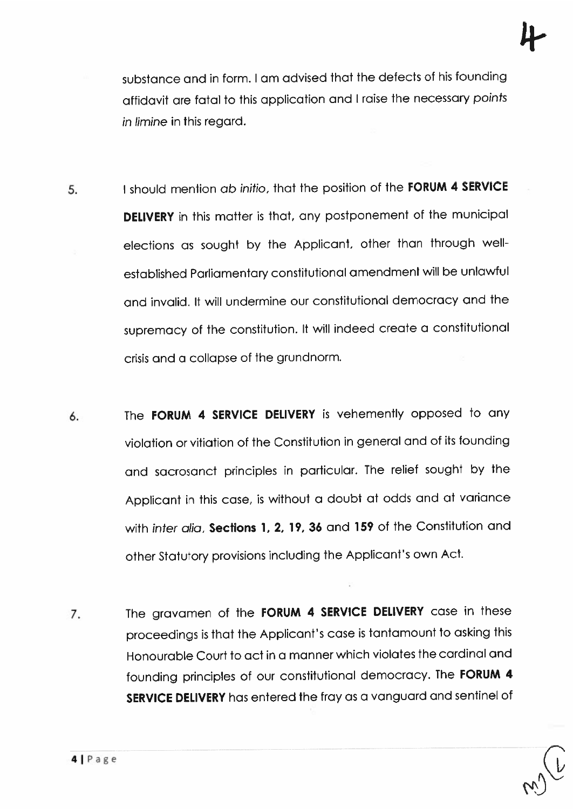substance and in form. <sup>I</sup> am advised that the defects of his founding affidavit are fatal to this application and <sup>I</sup> raise the necessary points in limine in this regard.

- 5. I should mention ab initio, that the position of the FORUM 4 SERVICE DELIVERY in this matter is that, any postponement of the municipal elections as sought by the Applicant, other than through wellestablished Parliamentary constitutional amendment will be unlawful and invalid. It will undermine our constitutional democracy and the supremacy of the constitution. It will indeed create <sup>a</sup> constitutional crisis and <sup>a</sup> collapse of the grundnorm.
- 6. The FORUM 4 SERVICE DELIVERY is vehemently opposed to any violation or vitiation of the Constitution in genera<sup>l</sup> and of its founding and sacrosanct principles in particular. The relief sought by the Applicant in this case, is without <sup>a</sup> doubt at odds and at variance with inter alia, Sections 1, 2, 19, 36 and 159 of the Constitution and other Statutory provisions including the Applicant's own Act.
- 7. The gravamen of the FORUM 4 SERVICE DELIVERY case in these proceedings is that the Applicant's case is tantamount to asking this Honourable Court to act in <sup>a</sup> manner which violates the cardinal and founding principles of our constitutional democracy. The FORUM <sup>4</sup> SERVICE DELIVERY has entered the fray as <sup>a</sup> vanguar<sup>d</sup> and sentinel of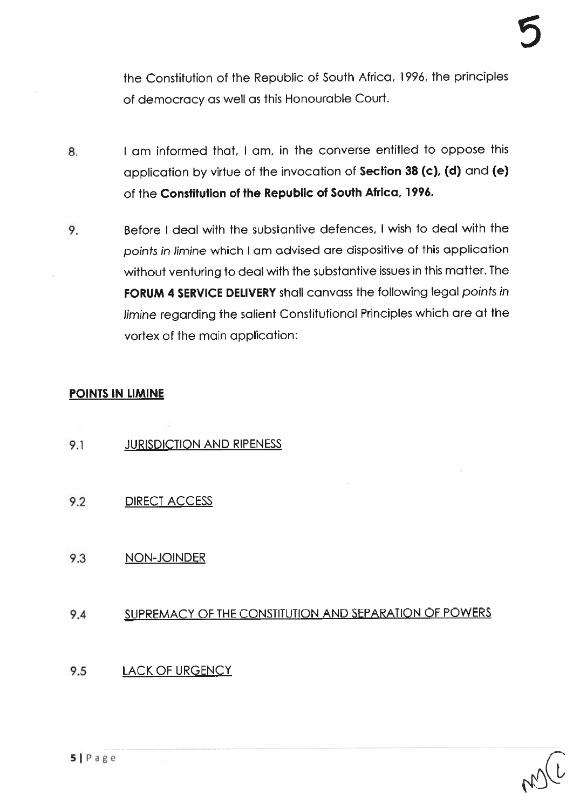the Constitution of the Republic of South Africa, 1996, the principles of democracy as well as this Honourable Court.

- 8. I am informed that, I am, in the converse entitled to oppose this application by virtue of the invocation of Section <sup>38</sup> (c), (d) and (e) of the Constitution of the Republic of South Africa, 1996.
- 9. Before I deal with the substantive defences, I wish to deal with the points in limine which <sup>I</sup> am advised are dispositive of this application without venturing to deal with the substantive issues in this matter. The FORUM 4 SERVICE DELIVERY shall canvass the following legal points in limine regarding the salient Constitutional Principles which are at the vortex of the main application:

#### POINTS IN LIMINE

- 9.1 JURISDICTION AND RIPENESS
- 9.2 DIRECT ACCESS
- 9.3 NON-JOINDER

## 9.4 SUPREMACY OF THE CONSTITUTION AND SEPARATION OF POWERS

## 9.5 LACK OF URGENCY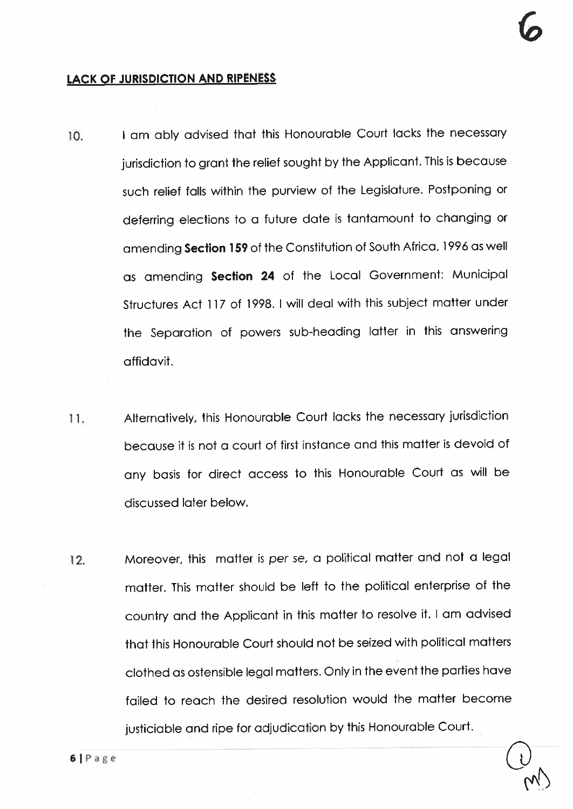$\omega_{\!\scriptscriptstyle (\! \prime\!)}$ 

#### LACK OF JURISDICTION AND RIPENESS

- 10. I am ably advised that this Honourable Court lacks the necessary jurisdiction to grant the relief sought by the Applicant. This is because such relief falls within the purview of the Legislature. Postponing or deferring elections to <sup>a</sup> future date is tantamount to changing or amending Section 159 of the Constitution of South Africa, 1996 as well as amending Section <sup>24</sup> of the Local Government: Municipal Sfrucfures Act 117 of 1998. <sup>I</sup> will deal with this subject matter under the Separation of powers sub-heading latter in this answering affidavit.
- 11. Alternatively, this Honourable Court lacks the necessary jurisdiction because it is not <sup>a</sup> court of first instance and this matter is devoid of any basis for direct access to this Honourable Court as will be discussed later below.
- 12. Moreover, this matter is per se, <sup>a</sup> political matter and not <sup>a</sup> legal matter. This matter should be left to the political enterprise of the country and the Applicant in this matter to resolve it. <sup>I</sup> am advised that this Honourable Court should not be seized with political matters clothed as ostensible legal matters. Only in the event the parties have failed to reach the desired resolution would the matter become justiciable and ripe for adjudication by this Honourable Court.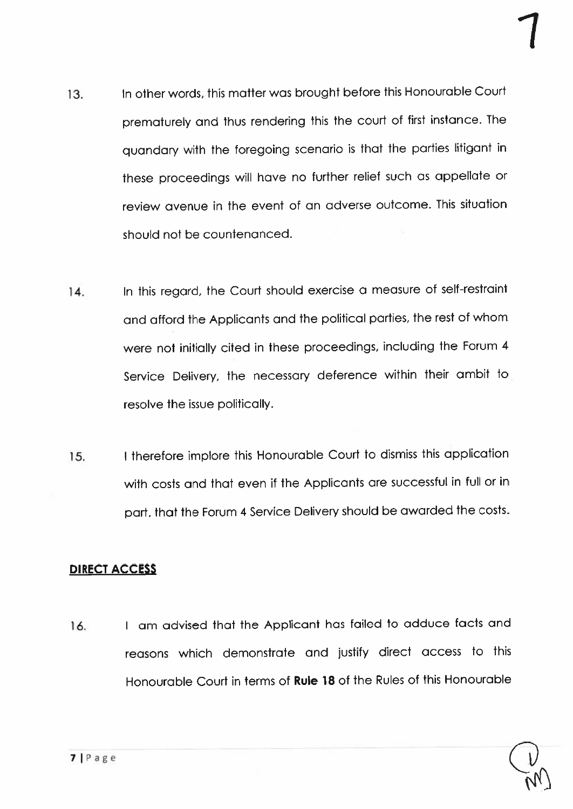- 13. In other words, this matter was brought before this Honourable Court prematurely and thus rendering this the court of first instance. The quandary with the foregoing scenario is that the parties litigant in these proceedings will have no further relief such as appellate or review avenue in the event of an adverse outcome. This situation should not be countenanced.
- 14. In this regard, the Court should exercise a measure of self-restraint and afford the Applicants and the political parties, the rest of whom were not initially cited in these proceedings, including the Forum <sup>4</sup> Service Delivery, the necessary deference within their ambit to resolve the issue politically.
- 15. <sup>I</sup> therefore implore this Honourable Court to dismiss this application with costs and that even if the Applicants are successful in full or in part, that the Forum <sup>4</sup> Service Delivery should be awarded the costs.

## DIRECT ACCESS

16. <sup>I</sup> am advised that the Applicant has failed to adduce facts and reasons which demonstrate and justify direct access to this Honourable Court in terms of Rule 18 of the Rules of this Honourable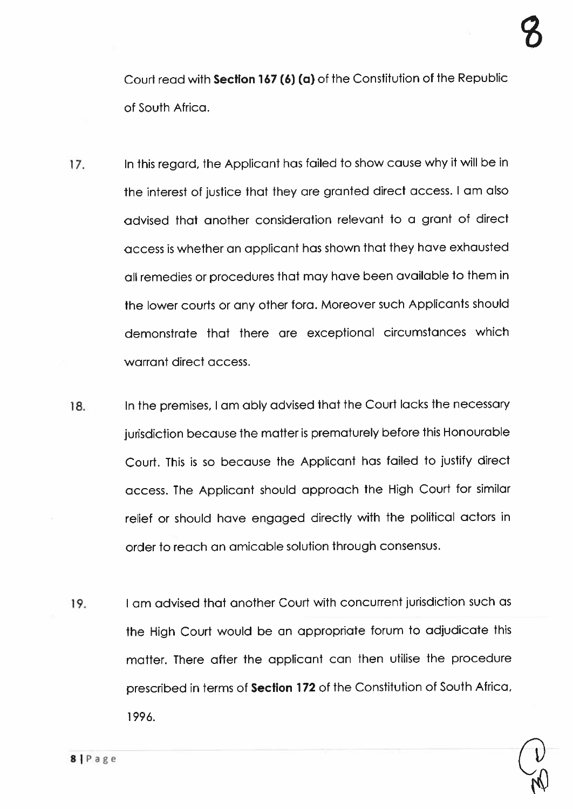Court read with Section 167(6) (a) of the Constitution of the Republic of South Africa.

- 17. In this regard, the Applicant has failed to show cause why it will be in the interest of justice that they are granted direct access. <sup>I</sup> am also advised that another consideration relevant to <sup>a</sup> gran<sup>t</sup> of direct access is whether an applicant has shown that they have exhausted all remedies or procedures that may have been available to them in the lower courts or any other fora. Moreover such Applicants should demonstrate that there are exceptional circumstances which warrant direct access.
- 18. In the premises, I am ably advised that the Court lacks the necessary jurisdiction because the matter is prematurely before this Honourable Court. This is so because the Applicant has failed to justify direct access. The Applicant should approac<sup>h</sup> the High Court for similar relief or should have engage<sup>d</sup> directly with the political actors in order to reach an amicable solution through consensus.
- 19. <sup>I</sup> am advised that another Court with concurrent jurisdiction such as the High Court would be an appropriate farum to adjudicate this matter. There after the applicant can then utilise the procedure prescribed in terms of Section <sup>172</sup> of the Constitution of South Africa, 1996.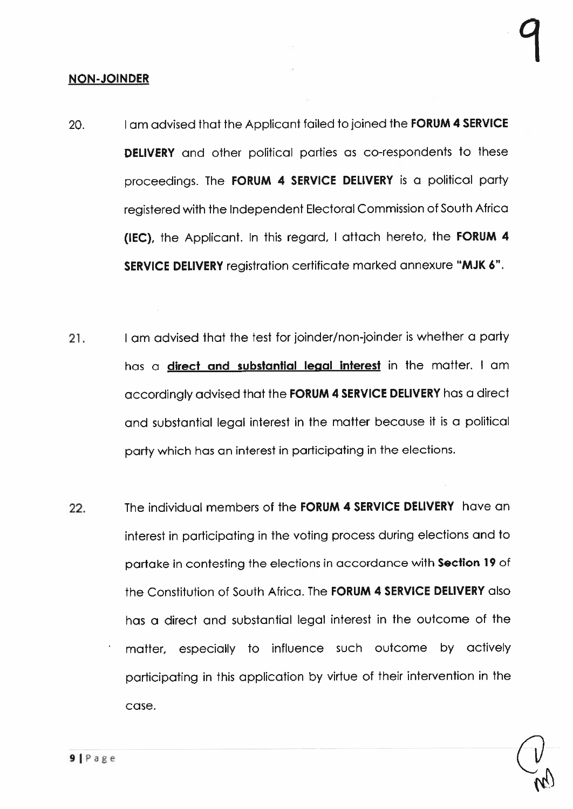#### NON-JOINDER

- 20. I am advised that the Applicant failed to joined the **FORUM 4 SERVICE DELIVERY** and other political parties as co-respondents to these proceedings. The FORUM 4 SERVICE DELIVERY is a political party registered with the Independent Electoral Commission of South Africa (IEC), the Applicant. In this regard, <sup>I</sup> attach hereto, the FORUM <sup>4</sup> SERVICE DELIVERY registration certificate marked annexure "MJK 6".
- 21. <sup>I</sup> am advised that the test for joinder/non-joinder is whether <sup>a</sup> party has a **direct and substantial legal interest** in the matter. I am accordingly advised that the FORUM <sup>4</sup> SERVICE DELIVERY has <sup>a</sup> direct and substantial legal interest in the matter because it is <sup>a</sup> political party which has an interest in participating in the elections.
- 22. The individual members of the **FORUM 4 SERVICE DELIVERY** have an interest in participating in the voting process during elections and to partake in contesting the elections in accordance with Section <sup>19</sup> of the Constitution of South Africa. The FORUM 4 SERVICE DELIVERY also has <sup>a</sup> direct and substantial legal interest in fhe outcome of fhe matter, especially to influence such outcome by actively participating in this application by virtue of their intervention in the case.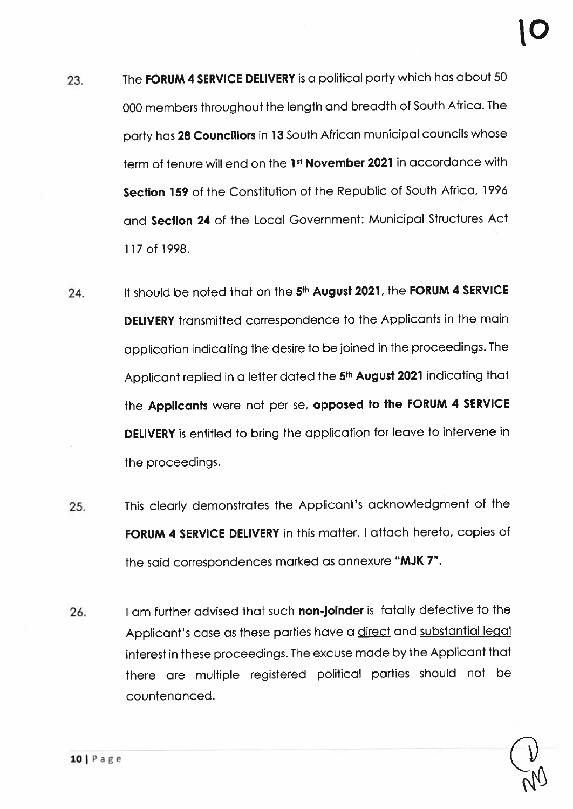- 23. The FORUM 4 SERVICE DELIVERY is a political party which has about 50 <sup>000</sup> members throughout the length and breadth ot South Africa. The party has <sup>28</sup> Councillors in <sup>13</sup> South African municipal councils whose term of tenure will end on the 1st November 2021 in accordance with Section 159 of the Constitution of the Republic of South Africa, 1996 and Section 24 of the Local Government: Municipal Structures Act 117 of 1998.
- 24. It should be noted that on the 5<sup>th</sup> August 2021, the FORUM 4 SERVICE DELIVERY transmitted correspondence to the Applicants in the main application indicating the desire to be joined in the proceedings. The Applicant replied in <sup>a</sup> letter dated the 5th August <sup>2021</sup> indicating that the Applicants were not per se, oppose<sup>d</sup> to the FORUM <sup>4</sup> SERVICE DELIVERY is entitled to bring the application for leave to infervene in the proceedings.
- 25. This clearly demonstrates the Applicant's acknowledgment of the FORUM 4 SERVICE DELIVERY in this matter. I attach hereto, copies of the said correspondences marked as annexure "MJK 7".
- 26. I am further advised that such non-joinder is fatally defective to the Applicant's case as these parties have <sup>a</sup> direct and substantial legal interest in these proceedings. The excuse made by the Applicant that there are multiple registered political parties should not be countenanced.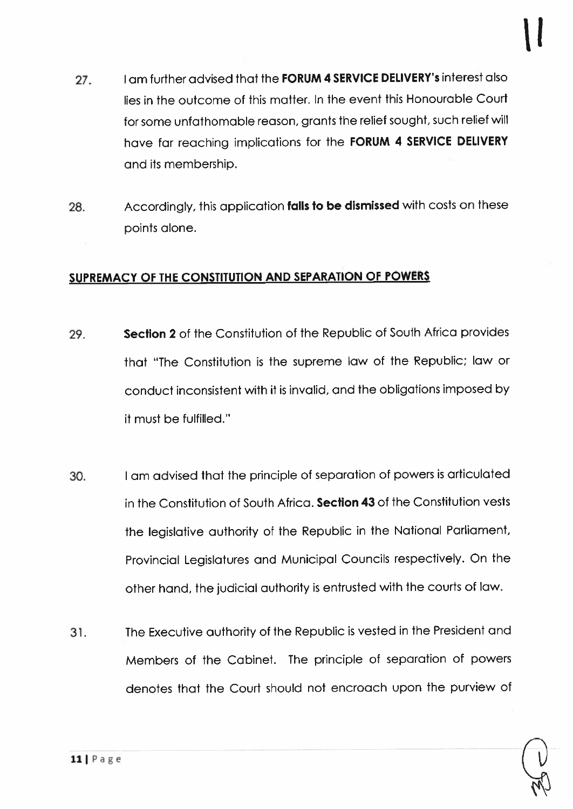27. I am further advised that the **FORUM 4 SERVICE DELIVERY's** interest also lies in the outcome of this matter. In the event this Honourable Court for some unfathomable reason, grants the relief sought, such relief will have far reaching implications for the FORUM <sup>4</sup> SERVICE DELIVERY and its membership.

Il

28. Accordingly, this application falls to be dismissed with costs on these points alone.

#### SUPREMACY OF THE CONSTITUTION AND SEPARATION OF POWERS

- 29. Section 2 of the Constitution of the Republic of South Africa provides that "The Constitution is the supreme law of the Republic; law or conduct inconsistent with it is invalid, and the obligations imposed by it must be fulfilled.'
- 30. <sup>I</sup> am advised that the principle of separation of powers is articulated in the Constitution of South Africa. Section 43 of the Constitution vests the legislative authority of the Republic in the National Parliament, Provincial Legislatures and Municipal Councils respectively. On the other hand, the judicial outhority is entrusted with the courts of law.
- 31. The Executive authority of the Republic is vested in the President and Members of the Cabinet. The principle ot separation of powers denotes that the Court should not encroach upon the purview of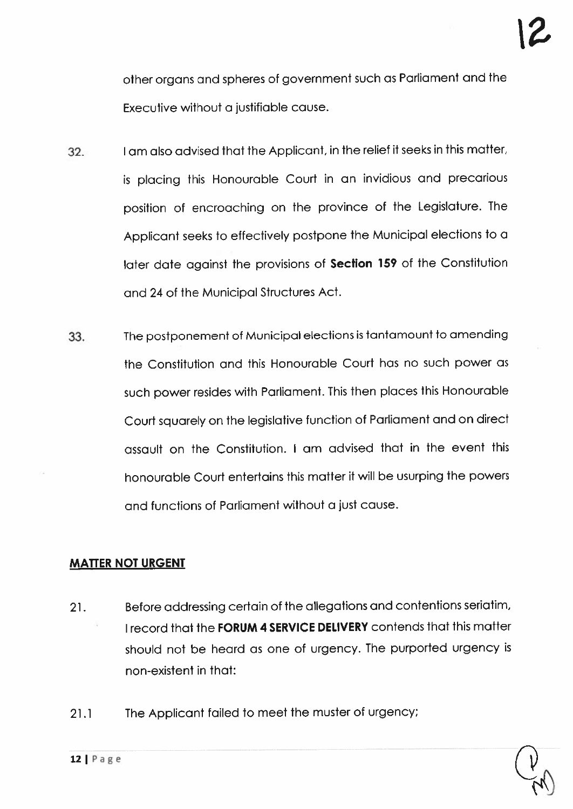other organs and spheres of governmen<sup>t</sup> such as Parliament and the Executive without <sup>a</sup> justifiable cause.

- 32. <sup>I</sup> am also advised that the Applicant, in the relief it seeks in this matter, is <sup>p</sup>lacing this Honourable Court in an invidious and precarious position of encroaching on the province of the Legislature. The Applicant seeks to effectively postpone the Municipal elections to <sup>a</sup> later date against the provisions of Section <sup>159</sup> of the Constitution and 24 of the Municipal Structures Act.
- 33. The postponement of Municipal elections is tantamount to amending the Constitution and this Honourable Court has no such power as such power resides with Parliament. This then <sup>p</sup>laces this Honourable Court squarely on the legislative function of Parliament and on direct assault on the Constitution. I am advised that in the event this honourable Court entertains this matter it will be usurping the powers and functions of Parliament without <sup>a</sup> just cause.

#### MATTER NOT URGENT

- 21. Before addressing certain of the allegations and contentions seriatim, I record that the FORUM 4 SERVICE DELIVERY contends that this matter should not be heard as one of urgency. The purported urgency is non-existent in that:
- 21.1 The Applicant failed to meet the muster of urgency;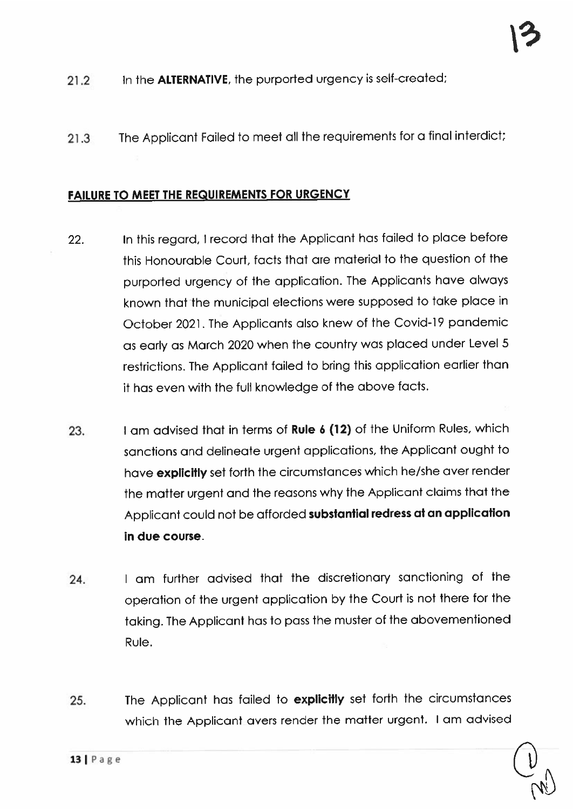- 21.2 In the **ALTERNATIVE**, the purported urgency is self-created;
- <sup>21</sup> .3 The Applicant Failed to meet all the requirements for <sup>a</sup> final interdict;

#### FAILURE TO MEET THE REQUIREMENTS FOR URGENCY

- 22. In this regard, <sup>I</sup> record that the Applicant has failed to <sup>p</sup>lace before this Honourable Court, facts that are material to the question of the purported urgency of the application. The Applicants have always known that the municipal elections were suppose<sup>d</sup> to take <sup>p</sup>lace in October 2021. The Applicants also knew of the Covid-19 pandemic as early as March <sup>2020</sup> when the country was <sup>p</sup>laced under Level <sup>5</sup> restrictions. The Applicant failed to bring this application earlier than it has even with the full knowledge of the above facts.
- 23. I am advised that in terms of Rule 6 (12) of the Uniform Rules, which sanctions and delineate urgen<sup>t</sup> applications, the Applicant ought to have explicitly set forth the circumstances which he/she aver render the matter urgen<sup>t</sup> and the reasons why the Applicant claims that the Applicant could not be afforded substantial redress at an application in due course.
- 24. <sup>I</sup> am further advised that the discretionary sanctioning of the operation of the urgen<sup>t</sup> application by the Court is not there for the taking. The Applicant has to pass the muster of the abovementioned Rule.
- 25. The Applicant has failed to explicitly set forth the circumstances which the Applicant avers render the matter urgent. <sup>I</sup> am advised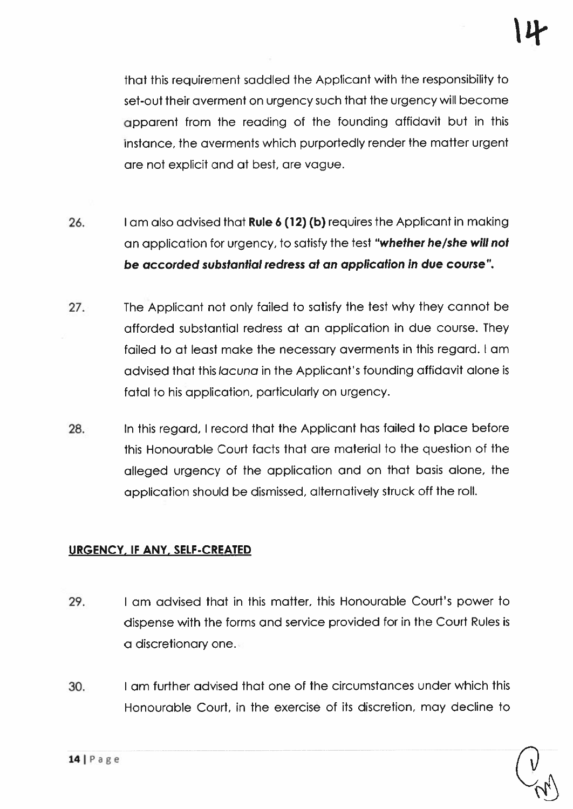that this requirement saddled the Applicant with the responsibility to set-out their averment on urgency such that the urgency will become apparen<sup>t</sup> from the reading of the founding affidavit but in this instance, the averments which purportedly render the matter urgen<sup>t</sup> are not explicit and at best, are vogue.

- 26. I am also advised that **Rule 6 (12) (b)** requires the Applicant in making an application for urgency, to satisfy the test "whether he/she will not be accorded substantial redress at an application in due course".
- 27. The Applicant not only failed to satisfy the test why they cannot be afforded substantial redress at an application in due course. They failed to at least make the necessary averments in this regard. <sup>I</sup> am advised that this *lacuna* in the Applicant's founding affidavit alone is fatal to his application, particularly on urgency.
- 28. In this regard, <sup>I</sup> record that the Applicant has failed to place before this Honourable Court facts that are material to the question of the alleged urgency of the application and on that basis alone, the application should be dismissed, alternatively struck off the roll.

## URGENCY. IF ANY. SELF-CREATED

- 29. I am advised that in this matter, this Honourable Court's power to dispense with the forms and service provided for in the Court Rules is <sup>a</sup> discretionary one.
- 30. I am further advised that one of the circumstances under which this Honourable Court, in the exercise of its discretion, may decline to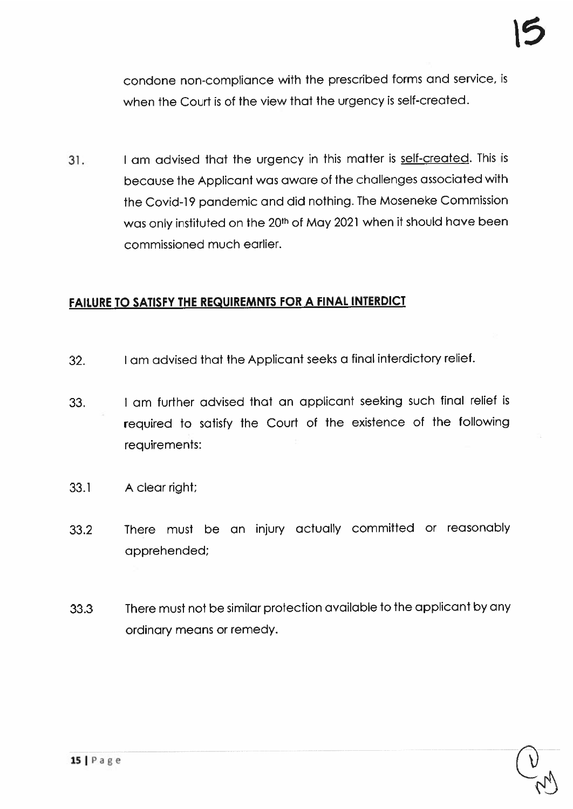condone non-compliance with the prescribed forms and service, is when the Court is of the view that the urgency is self-created.

31. I am advised that the urgency in this matter is self-created. This is because the Applicant was aware of the challenges associated with the Covid-19 pandemic and did nothing. The Moseneke Commission was only instituted on the 20<sup>th</sup> of May 2021 when it should have been commissioned much earlier.

#### FAILURE TO SATISFY THE REQUIREMNTS FOR A FINAL INTERDICT

- 32. <sup>I</sup> am advised that the Applicant seeks <sup>a</sup> final interdictory relief.
- 33. <sup>I</sup> am further advised that an applicant seeking such final relief is required to satisfy the Court of the existence of the following requirements:
- 33.1 A clear right;
- 33.2 There must be an injury actually committed or reasonably apprehended;
- 33.3 There must not be similar protection available to the applicant by any ordinary means or remedy.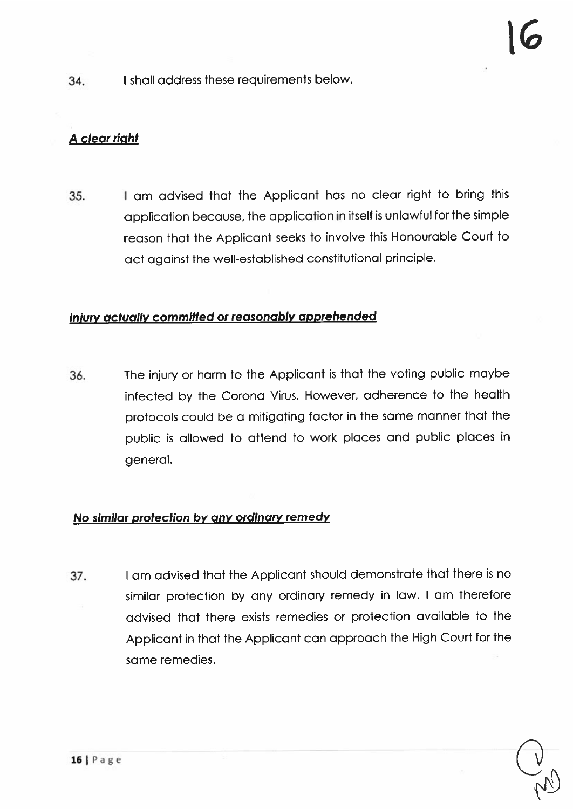34. I shall address these requirements below.

## A clear right

35. <sup>I</sup> am advised that the Applicant has no clear right to bring this application because, the application in itself is unlawful for the simple reason that the Applicant seeks to involve this Honourable Court to act against the well-established constitutional principle.

#### Injury actually committed or reasonably apprehended

36. The injury or harm to the Applicant is that the voting public maybe infected by the Corona Virus. However, adherence to the health protocols could be <sup>a</sup> mitigating tactor in the same manner that the public is allowed to attend to work <sup>p</sup>laces and public <sup>p</sup>laces in general.

#### No similar protection by any ordinary remedy

37. <sup>I</sup> am advised that the Applicant should demonstrate that there is no similar protection by any ordinary remedy in law. <sup>I</sup> am therefore advised that there exists remedies or protection available to the Applicant in that the Applicant can approach the High Court for the same remedies.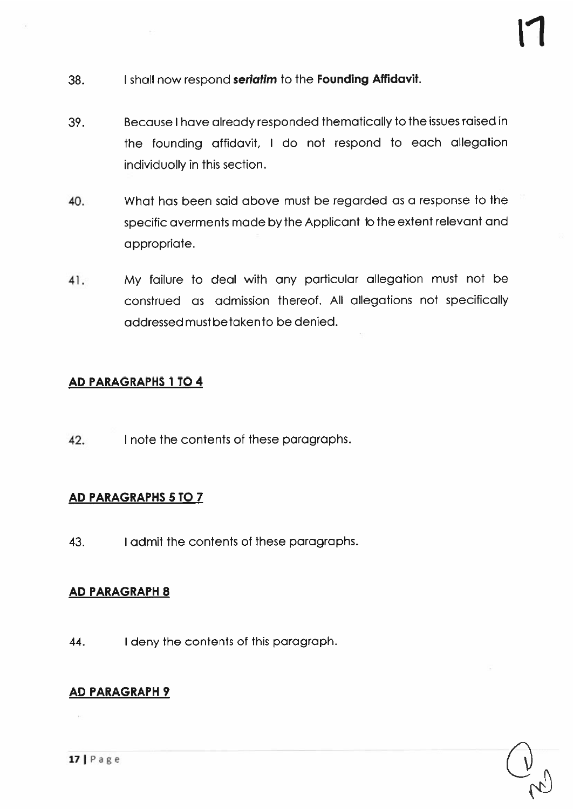- 38. I shall now respond **seriatim** to the **Founding Affidavit.**
- 39. Because <sup>I</sup> have already responded thematically to the issues raised in the founding affidavit, <sup>I</sup> do not respond to each allegation individually in this section.
- 40. What has been said above must be regarded as <sup>a</sup> response to the specific averments made by the Applicant to the extent relevant and appropriate.
- 41. My failure to deal with any particular allegation must not be construed as admission thereof. All allegations not specifically addressedmustbetakenta be denied.

## AD PARAGRAPHS 1 TO 4

42. I note the contents of these paragraphs.

## AD PARAGRAPHS 5 TO 7

43. I admit the contents of these paragraphs.

## AD PARAGRAPH 8

44. <sup>I</sup> deny the contents of this paragraph.

## AD PARAGRAPH 9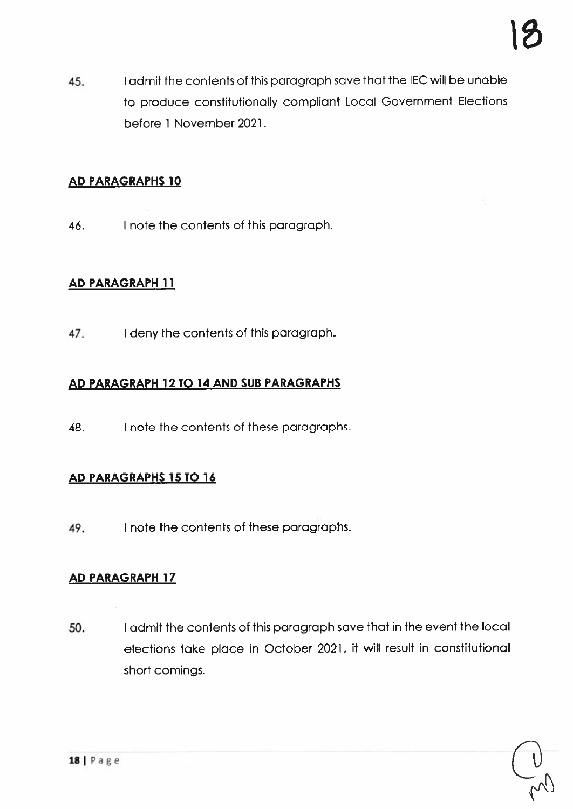45. I admit the contents of this paragraph save that the IEC will be unable to produce constitutionally compliant Local Government Elections before 1 November 2021.

## AD PARAGRAPHS 10

46. I note the contents of this paragraph.

## AD PARAGRAPH 11

47. I deny the contents of this paragraph.

## AD PARAGRAPH 12 TO 14 AND SUB PARAGRAPHS

48. I note the contents of these paragraphs.

## AD PARAGRAPHS 15 TO 16

49. I note the contents of these paragraphs.

## AD PARAGRAPH 17

50. <sup>I</sup> admit the contents of this paragrap<sup>h</sup> save that in the event the local elections take <sup>p</sup>lace in October 2021, it will result in constitutional short comings.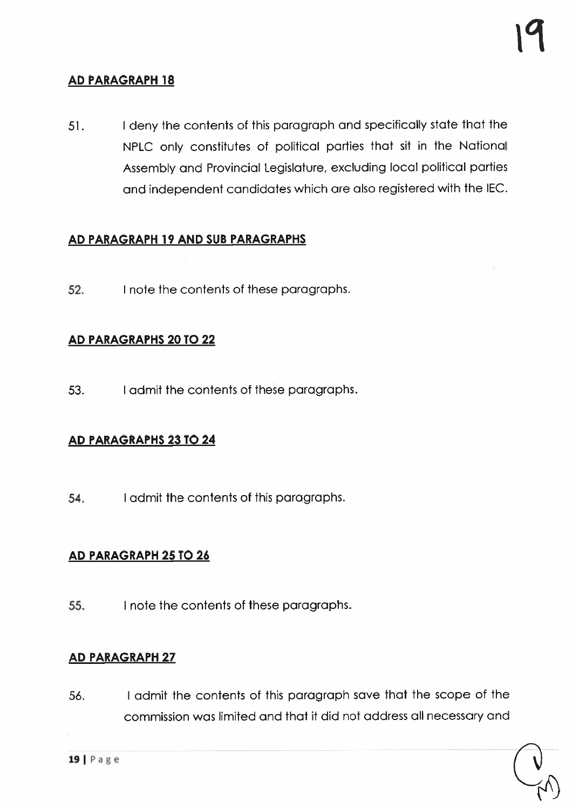## AD PARAGRAPH 18

51. <sup>I</sup> deny the contents of this paragrap<sup>h</sup> and specifically state that the NPLC only constitutes of political parties that sit in the National Assembly and Provincial Legislature, excluding local political parties and independent candidates which are also registered with the IEC.

#### AD PARAGRAPH 19 AND SUB PARAGRAPHS

52. I note the contents of these paragraphs.

#### AD PARAGRAPHS 20 TO 22

53. I admit the contents of these paragraphs.

#### AD PARAGRAPHS 23 TO 24

54. I admit fhe contents of this paragraphs.

#### AD PARAGRAPH 25 TO 26

55. I note the contents of these paragraphs.

#### AD PARAGRAPH 27

56. <sup>I</sup> admit the contents of this paragraph save that the scope of the commission was limited and that it did not address all necessary and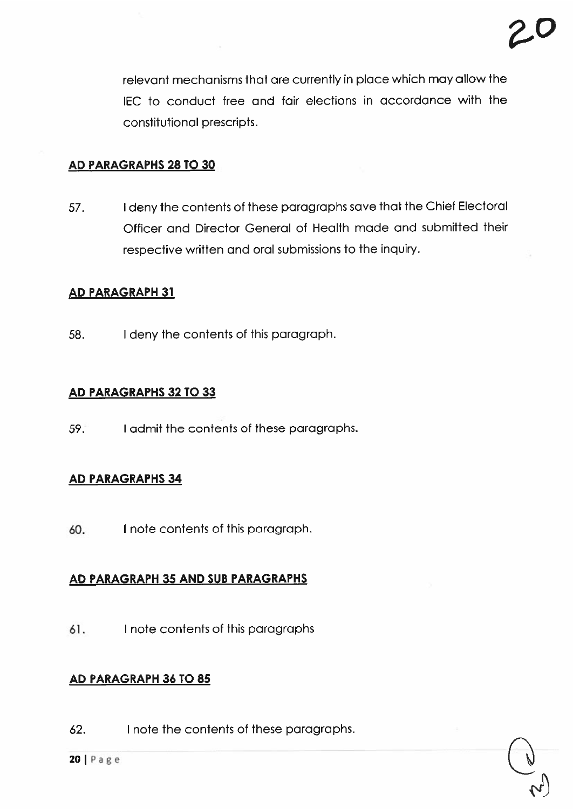relevant mechanisms that are currently in place which may allow the lEO to conduct free and fair elections in accordance with the constitutional prescripts.

#### AD PARAGRAPHS 28 TO 30

57. <sup>I</sup> deny the contents of these paragraphs save that the Chief Electoral Officer and Director General of Health made and submitted their respective written and oral submissions to the inquiry.

#### AD PARAGRAPH 31

58. <sup>I</sup> deny the contents of this paragraph.

#### AD PARAGRAPHS 32 TO 33

59. I admit the contents of these paragraphs.

## AD PARAGRAPHS 34

60. I note contents of this paragraph.

#### AD PARAGRAPH 35 AND SUB PARAGRAPHS

61. I note contents of this paragraphs

#### AD PARAGRAPH 36 TO 85

62. I note the contents of these paragraphs.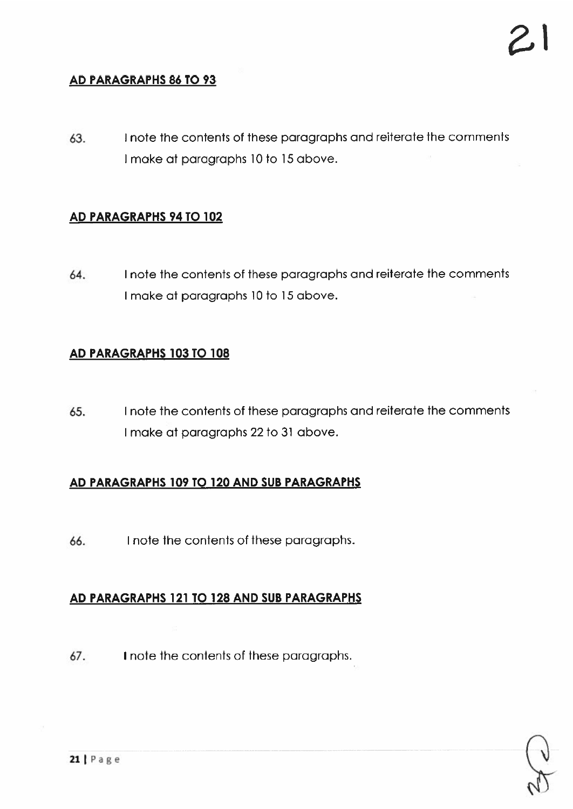## AD PARAGRAPHS 86 TO 93

63. I note the contents of these paragraphs and reiterate the comments I make at paragraphs 10 to 15 above.

#### AD PARAGRAPHS 94 TO 102

64. I note the contents of these paragraphs and reiterate the comments I make at paragraphs 10 to 15 above.

#### AD PARAGRAPHS 103 TO 108

65. I note the contents of these paragraphs and reiterate the comments I make at paragraphs 22 to 31 above.

#### AD PARAGRAPHS 109 TO 120 AND SUB PARAGRAPHS

66. I note the contents of these paragraphs.

## AD PARAGRAPHS 121 TO 128 AND SUB PARAGRAPHS

67. I note the contents of these paragraphs.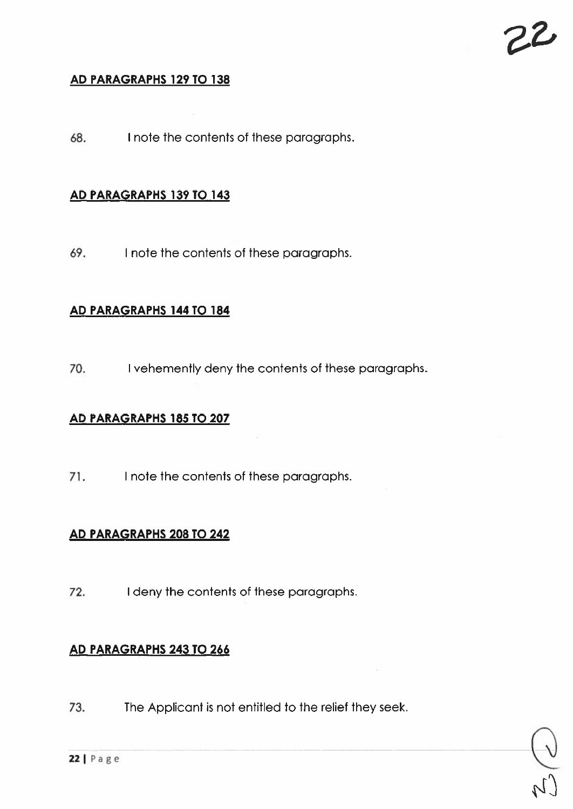#### AD PARAGRAPHS 129 TO 138

68. I note the contents of these parographs.

#### AD PARAGRAPHS 139 TO 143

69. I note the contents of these paragraphs.

## AD PARAGRAPHS 144 TO 184

70. I vehemently deny the contents of these paragraphs.

#### AD PARAGRAPHS 185 TO 207

71. I note the contents of these paragraphs.

#### AD PARAGRAPHS 208 TO 242

72. I deny the contents of these paragraphs.

#### AD PARAGRAPHS 243 TO 266

73. The Applicant is not entitled to the relief they seek.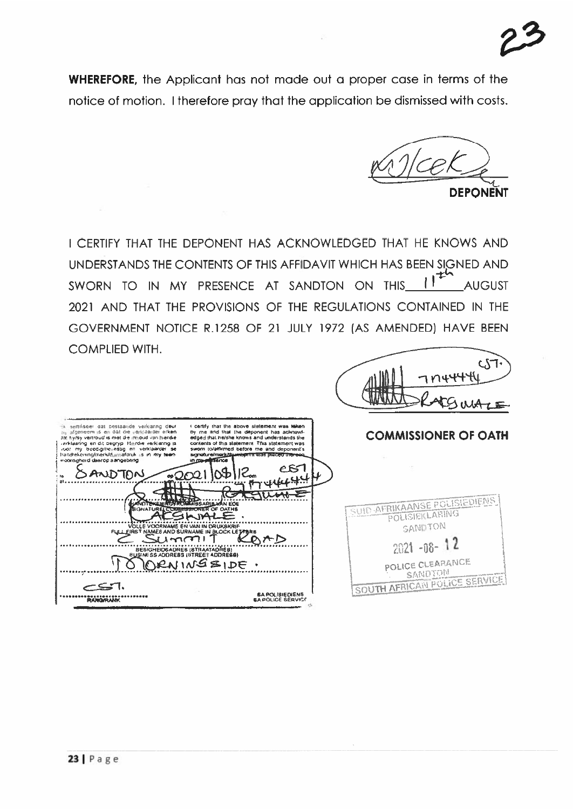WHEREFORE, the Applicant has not made out <sup>a</sup> proper case in terms of the notice of motion. I therefore pray that the application be dismissed with costs.

DEPONENT

I CERTIFY THAT THE DEPONENT HAS ACKNOWLEDGED THAT HE KNOWS AND UNDERSTANDS THE CONTENTS OF THIS AFFIDAVIT WHICH HAS BEEN SIGNED AND 1+ SWORN TO IN MY PRESENCE AT SANDTON ON THIS 1<sup>1</sup> AUGUST 2021 AND THAT THE PROVISIONS OF THE REGULATIONS CONTAINED IN THE GOVERNMENT NOTICE R.1258 OF 21 JULY 1972 (AS AMENDED) HAVE BEEN COMPLIED WITH.

|                                                                                                                                                                                                                                                                                                                                                                                                                                                                                                                                                                                                                                                                                             | CT<br>7114447                                                                 |
|---------------------------------------------------------------------------------------------------------------------------------------------------------------------------------------------------------------------------------------------------------------------------------------------------------------------------------------------------------------------------------------------------------------------------------------------------------------------------------------------------------------------------------------------------------------------------------------------------------------------------------------------------------------------------------------------|-------------------------------------------------------------------------------|
| ik semiseer dat bestaaride verklaring deur<br>I certify that the above statement was taken<br>nij afgeneem is en dat die verklaarder erken<br>by me and that the deponent has acknowl-<br>dat tly/sy vartroud is met die inhoud van hierdie<br>edged that he/she knows and understands the<br>contents of this statement. This statement was<br>recklaaring en dit begryp. Hiltridie verklannig is<br>sworn to/affirmed before me and deponent's<br>voor my beedig/beliestig en verklaarder se<br>handrekering/merk/dumlaforuk is in my teen-<br>signature/mark/duwidionm was placed therear<br>weerdigheid daarop aangebring<br>in ma-millsence<br>$\sim$ $\sim$<br>ᠲᡐᡗᢧ᠊᠋᠐ᠬ<br>$\sim$ 000 | <b>COMMISSIONER OF OATH</b>                                                   |
| <b>HANDTEKENIRGYROMMISSARIBJAN EDE</b><br><b>SIGNATUREL COMMISSIONER OF OATHS</b><br>VOLLE VOORNAME EN VAN IN DRUKSKRIF<br>FULL FIRST NAMES AND SURNAME IN BLOCK LETTERS<br>⊁∽                                                                                                                                                                                                                                                                                                                                                                                                                                                                                                              | SUID-AFRIKAANSE POLISIEDIENS<br>POLISIEKLARING<br>SANDTON<br>$2021 - 08 - 12$ |
| BESIGHEIDSADRES (BTRAATADRES)<br>RAINGSIDE.<br><b>BA POLISIEDIENS</b><br><b>RANGIRANK</b><br><b>BA POLICE SERVICE</b>                                                                                                                                                                                                                                                                                                                                                                                                                                                                                                                                                                       | POLICE CLEARANCE<br>SANDION<br>SOUTH AFRICAN POLICE SERVI                     |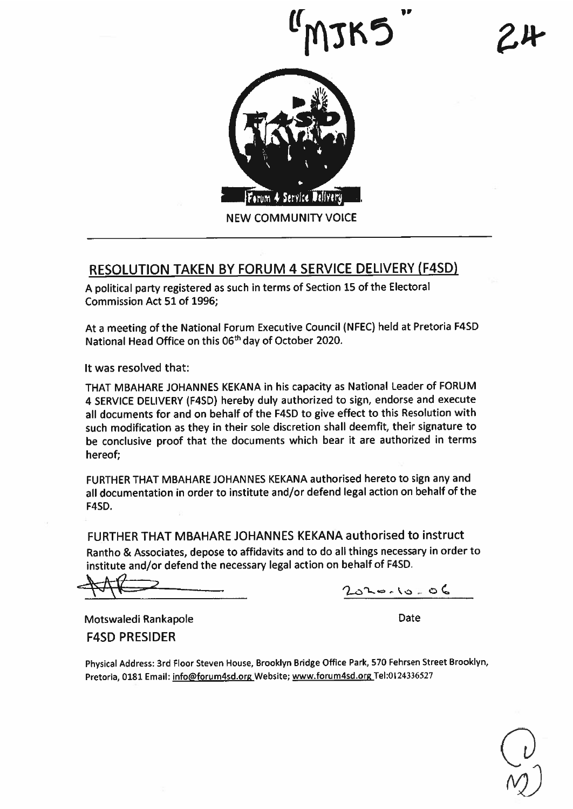

## RESOLUTION TAKEN BY FORUM 4 SERVICE DELIVERY (F4SD)

<sup>A</sup> political party registered as such in terms of Section <sup>15</sup> of the Electoral Commission Act 51 of 1996;

At <sup>a</sup> meeting of the National Forum Executive Council (NFEC) held at Pretoria F4SD National Head Office on this 06<sup>th</sup> day of October 2020.

It was resolved that:

THAT MBAHARE JOHANNES KEKANA in his capacity as National Leader of FORUM <sup>4</sup> SERVICE DELIVERY (F4SD) hereby duly authorized to sign, endorse and execute all documents for and on behalf of the F4SD to <sup>g</sup>ive effect to this Resolution with such modification as they in their sole discretion shall deemfit, their signature to be conclusive proo<sup>f</sup> that the documents which bear it are authorized in terms hereof;

FURTHER THAT MBAHARE JOHANNES KEKANA authorised hereto to sign any and all documentation in order to institute and/or defend legal action on behalf of the F4SD.

FURTHER THAT MBAHARE JOHANNES KEKANA authorised to instruct Rantho & Associates, depose to affidavits and to do all things necessary in order to institute and/or defend the necessary legal action on behalf of F4SD.

- <sup>a</sup> C

Motswaledi Rankapole F4SD PRESIDER

Date

Physical Address: 3rd Floor Steven House, Brooklyn Bridge Office Park, <sup>570</sup> Fehrsen Street Brooklyn, Pretoria, 0181 Email: info@forum4sd.org Website; www.forum4sd.org Tel:0124336527

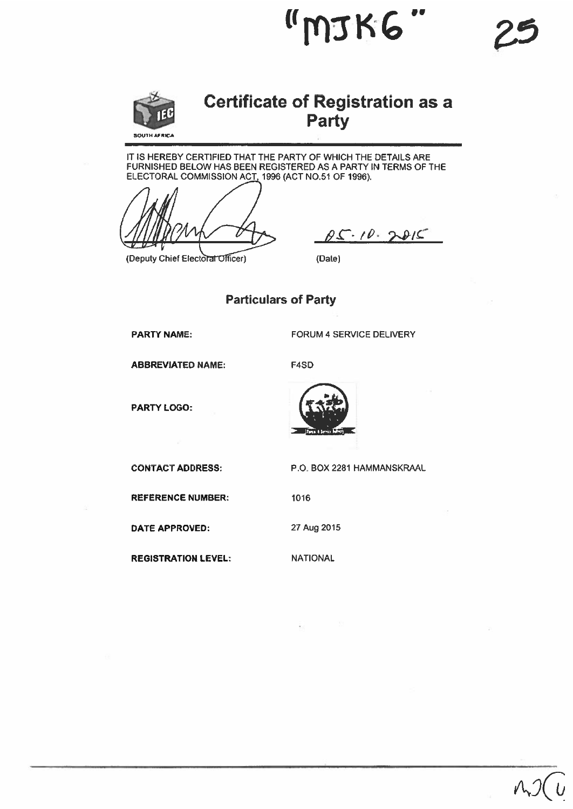

# Certificate of Registration as <sup>a</sup> Party

"MJKG

IT IS HEREBY CERTIFIED THAT THE PARTY OF WHICH THE DETAILS ARE FURNISHED BELOW HAS BEEN REGISTERED AS A PARTY IN TERMS OF THE ELECTORAL COMMISSION ACT, 1996 (ACT NO.51 OF 1996).

(Deputy Chief Electoral Officer)

 $\beta S\cdot 10.2815$ 

(Date)

#### Particulars of Party

PARTY NAME:

FORUM 4 SERVICE DELIVERY

ABBREVIATED NAME:

F4SD

PARTY LOGO:



REFERENCE NUMBER:

DATE APPROVED:

REGISTRATION LEVEL:

CONTACT ADDRESS: P.O. BOX 2281 HAMMANSKRAAL

1016

27 Aug 2015

NATIONAL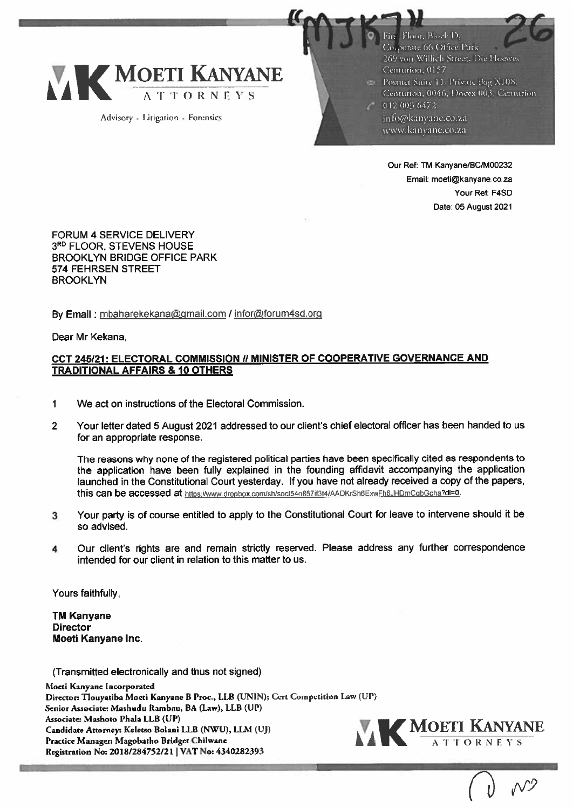

Advisory + Litigation + Forensies

Floor, Block D. Co.porate 66 Office Park 269 von Willich Street, Die Hoewes Centurion, 0157 Postnet Suite 11, Private Bag X108. Centurion, 0046, Doces 003, Centurion  $-0120036472$ info@kanvane.co.za www.kanyane.co.za

I!!!!?.:!

Email: moeti©kanyane.co.za Your Ref: F4SD Date: 05 August 2021 Our Ref: TM Kanyane/Bc/M00232

FORUM 4 SERVICE DELIVERY 3RD FLOOR, STEVENS HOUSE BROOKLYN BRIDGE OFFICE PARK 574 FEHRSEN STREET BROOKLYN

By Email: mbaharekekana@gmail.com / infor@forum4sd.org

Dear Mr Kekana,

#### CCT 245/21: ELECTORAL COMMISSION // MINISTER OF COOPERATIVE GOVERNANCE AND TRADITIONAL AFFAIRS & 10 OTHERS

- 1 We act on instructions of the Electoral Commission.
- 2 Your letter dated 5 August 2021 addressed to our client's chief electoral officer has been handed to us for an appropriate response.

The reasons why none of the registered political parties have been specifically cited as respondents to the application have been fully explained in the founding affidavit accompanying the application launched in the Constitutional Court yesterday. If you have not already received <sup>a</sup> copy of the papers, this can be accessed at https://www.dropbox.com/sh/soct54n857if3t4/AADKrSh6ExwFh6JHDmCgbGcha?dl=0.

- <sup>3</sup> Your party is of course entitled to apply to the Constitutional Court for leave to intervene should it be so advised.
- <sup>4</sup> Our client's rights are and remain strictly reserved. Please address any further correspondence intended for our client in relation to this matter to us.

Yours faithfully,

TM Kanyane **Director** Moeti Kanyane Inc.

(Transmitted electronically and thus not signed)

Moeti Kanyane Incorporated Director: Tlouyatiba Moeti Kanyane B Proc., LLB (UNIN); Cert Competition Law (UP) Senior Associate: Mashudu Rambau, BA (Law), LLB (UP) Associate: Mashoro Phala IIB (UP) Candidate Attorney: Keletso Bolani IIB (NWU), LLM (UJ) Practice Manager: Magobatho Bridget Chilwane Registration No: 2018/284752/21 | VAT No: 4340282393

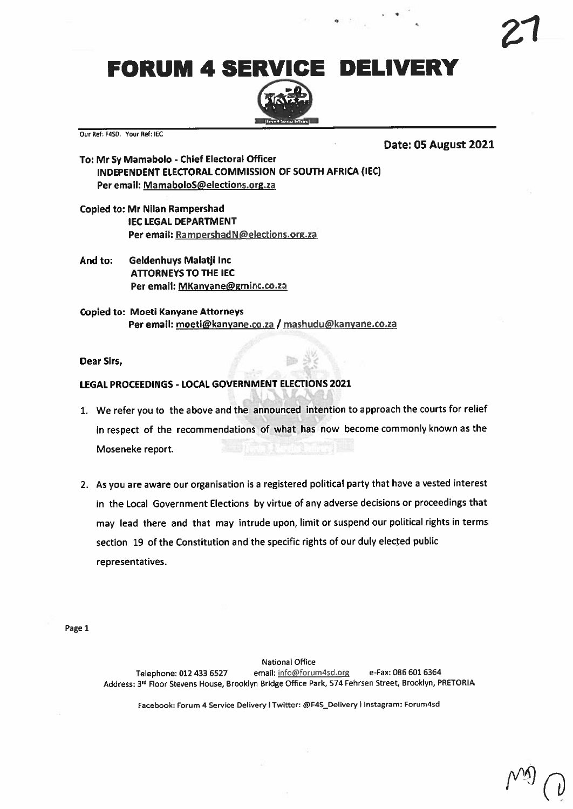FORUM 4 SERVICE DELIVERY



Our Ref: F4SD. Your Ref: IEC

Date: 05 August 2021

- To: Mr Sy Mamabolo -Chief Electoral Officer INDEPENDENT ELECTORAL COMMISSION OF SOUTH AFRICA (IEC) Per email: MamaboloS@elections.org.za
- Copied to: Mr Nilan Rampershad IEC LEGAL DEPARTMENT Per email: RampershadN@elections.org.za
- And to: Geldenhuys Malatji Inc ATTORNEYS TO THE IEC Per email: MKanyane@gminc.co.za
- Copied to: Moeti Kanyane Attorneys Per email: moeti@kanyane.co.za / mashudu@kanyane.co.za

Dear Sirs,

#### LEGAL PROCEEDINGS - LOCAL GOVERNMENT ELECTIONS 2021

- 1. We refer you to the above and the announced intention to approac<sup>h</sup> the courts for relief in respec<sup>t</sup> of the recommendations of what has now become commonly known as the Moseneke report.
- 2. As you are aware our organisation is a registered political party that have a vested interest in the Local Government Elections by virtue of any adverse decisions or proceedings that may lead there and that may intrude upon, limit or suspen<sup>d</sup> our political rights in terms section 19 of the Constitution and the specific rights of our duly elected public representatives.

Page 1

National Office Telephone: 012 433 6527 email: info@forum4sd.org e-Fax: 086 601 6364 Address: 3<sup>rd</sup> Floor Stevens House, Brooklyn Bridge Office Park, 574 Fehrsen Street, Brooklyn, PRETORIA

Facebook: Forum 4 Service Delivery I Twitter: @F4S\_Delivery I Instagram: Forum4sd